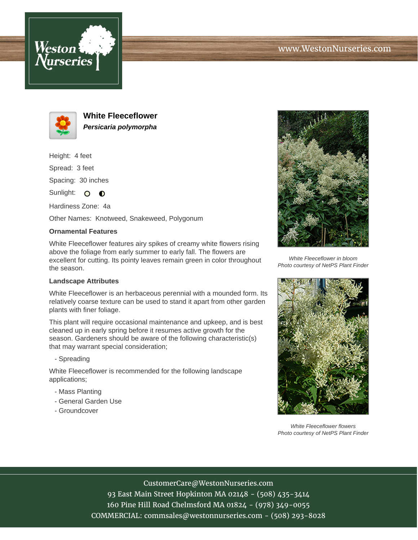



**White Fleeceflower Persicaria polymorpha**

Height: 4 feet Spread: 3 feet

Spacing: 30 inches

Sunlight: O O

Hardiness Zone: 4a

Other Names: Knotweed, Snakeweed, Polygonum

## **Ornamental Features**

White Fleeceflower features airy spikes of creamy white flowers rising above the foliage from early summer to early fall. The flowers are excellent for cutting. Its pointy leaves remain green in color throughout the season.

## **Landscape Attributes**

White Fleeceflower is an herbaceous perennial with a mounded form. Its relatively coarse texture can be used to stand it apart from other garden plants with finer foliage.

This plant will require occasional maintenance and upkeep, and is best cleaned up in early spring before it resumes active growth for the season. Gardeners should be aware of the following characteristic(s) that may warrant special consideration;

#### - Spreading

White Fleeceflower is recommended for the following landscape applications;

- Mass Planting
- General Garden Use
- Groundcover



White Fleeceflower in bloom Photo courtesy of NetPS Plant Finder



White Fleeceflower flowers Photo courtesy of NetPS Plant Finder

## CustomerCare@WestonNurseries.com

93 East Main Street Hopkinton MA 02148 - (508) 435-3414 160 Pine Hill Road Chelmsford MA 01824 - (978) 349-0055 COMMERCIAL: commsales@westonnurseries.com - (508) 293-8028